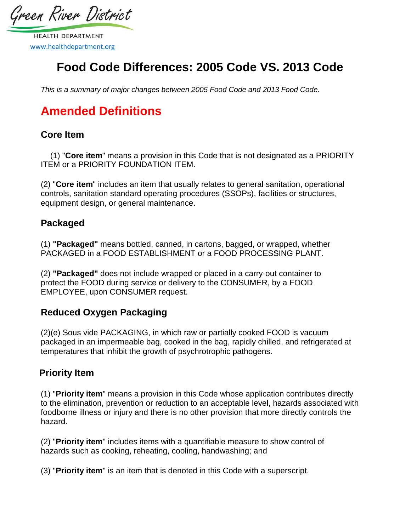Green River District

**HEALTH DEPARTMENT** [www.healthdepartment.org](http://www.healthdepartment.org/)

## **Food Code Differences: 2005 Code VS. 2013 Code**

*This is a summary of major changes between 2005 Food Code and 2013 Food Code.* 

# **Amended Definitions**

#### **Core Item**

(1) "**Core item**" means a provision in this Code that is not designated as a PRIORITY ITEM or a PRIORITY FOUNDATION ITEM.

(2) "**Core item**" includes an item that usually relates to general sanitation, operational controls, sanitation standard operating procedures (SSOPs), facilities or structures, equipment design, or general maintenance.

### **Packaged**

(1) **"Packaged"** means bottled, canned, in cartons, bagged, or wrapped, whether PACKAGED in a FOOD ESTABLISHMENT or a FOOD PROCESSING PLANT.

(2) **"Packaged"** does not include wrapped or placed in a carry-out container to protect the FOOD during service or delivery to the CONSUMER, by a FOOD EMPLOYEE, upon CONSUMER request.

## **Reduced Oxygen Packaging**

(2)(e) Sous vide PACKAGING, in which raw or partially cooked FOOD is vacuum packaged in an impermeable bag, cooked in the bag, rapidly chilled, and refrigerated at temperatures that inhibit the growth of psychrotrophic pathogens.

## **Priority Item**

(1) "**Priority item**" means a provision in this Code whose application contributes directly to the elimination, prevention or reduction to an acceptable level, hazards associated with foodborne illness or injury and there is no other provision that more directly controls the hazard.

(2) "**Priority item**" includes items with a quantifiable measure to show control of hazards such as cooking, reheating, cooling, handwashing; and

(3) "**Priority item**" is an item that is denoted in this Code with a superscript.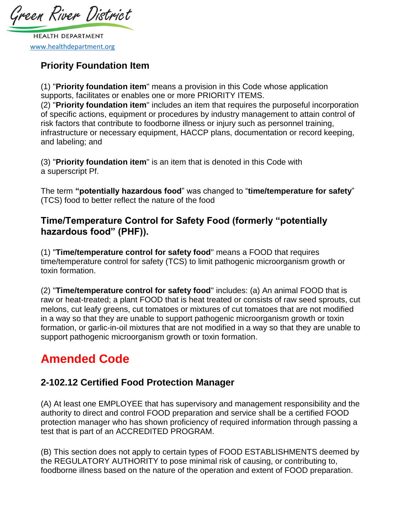Green River District

**HEALTH DEPARTMENT** [www.healthdepartment.org](http://www.healthdepartment.org/)

## **Priority Foundation Item**

(1) "**Priority foundation item**" means a provision in this Code whose application supports, facilitates or enables one or more PRIORITY ITEMS.

(2) "**Priority foundation item**" includes an item that requires the purposeful incorporation of specific actions, equipment or procedures by industry management to attain control of risk factors that contribute to foodborne illness or injury such as personnel training, infrastructure or necessary equipment, HACCP plans, documentation or record keeping, and labeling; and

(3) "**Priority foundation item**" is an item that is denoted in this Code with a superscript Pf.

The term **"potentially hazardous food**" was changed to "**time/temperature for safety**" (TCS) food to better reflect the nature of the food

### **Time/Temperature Control for Safety Food (formerly "potentially hazardous food" (PHF)).**

(1) "**Time/temperature control for safety food**" means a FOOD that requires time/temperature control for safety (TCS) to limit pathogenic microorganism growth or toxin formation.

(2) "**Time/temperature control for safety food**" includes: (a) An animal FOOD that is raw or heat-treated; a plant FOOD that is heat treated or consists of raw seed sprouts, cut melons, cut leafy greens, cut tomatoes or mixtures of cut tomatoes that are not modified in a way so that they are unable to support pathogenic microorganism growth or toxin formation, or garlic-in-oil mixtures that are not modified in a way so that they are unable to support pathogenic microorganism growth or toxin formation.

# **Amended Code**

## **2-102.12 Certified Food Protection Manager**

(A) At least one EMPLOYEE that has supervisory and management responsibility and the authority to direct and control FOOD preparation and service shall be a certified FOOD protection manager who has shown proficiency of required information through passing a test that is part of an ACCREDITED PROGRAM.

(B) This section does not apply to certain types of FOOD ESTABLISHMENTS deemed by the REGULATORY AUTHORITY to pose minimal risk of causing, or contributing to, foodborne illness based on the nature of the operation and extent of FOOD preparation.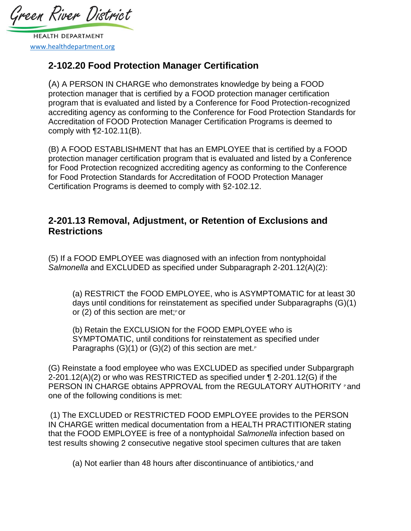Green River District

**HEALTH DEPARTMENT** [www.healthdepartment.org](http://www.healthdepartment.org/)

### **2-102.20 Food Protection Manager Certification**

(A) A PERSON IN CHARGE who demonstrates knowledge by being a FOOD protection manager that is certified by a FOOD protection manager certification program that is evaluated and listed by a Conference for Food Protection-recognized accrediting agency as conforming to the Conference for Food Protection Standards for Accreditation of FOOD Protection Manager Certification Programs is deemed to comply with ¶2-102.11(B).

(B) A FOOD ESTABLISHMENT that has an EMPLOYEE that is certified by a FOOD protection manager certification program that is evaluated and listed by a Conference for Food Protection recognized accrediting agency as conforming to the Conference for Food Protection Standards for Accreditation of FOOD Protection Manager Certification Programs is deemed to comply with §2-102.12.

#### **2-201.13 Removal, Adjustment, or Retention of Exclusions and Restrictions**

(5) If a FOOD EMPLOYEE was diagnosed with an infection from nontyphoidal *Salmonella* and EXCLUDED as specified under Subparagraph 2-201.12(A)(2):

(a) RESTRICT the FOOD EMPLOYEE, who is ASYMPTOMATIC for at least 30 days until conditions for reinstatement as specified under Subparagraphs (G)(1) or (2) of this section are met; or

(b) Retain the EXCLUSION for the FOOD EMPLOYEE who is SYMPTOMATIC, until conditions for reinstatement as specified under Paragraphs  $(G)(1)$  or  $(G)(2)$  of this section are met.<sup>P</sup>

(G) Reinstate a food employee who was EXCLUDED as specified under Subpargraph 2-201.12(A)(2) or who was RESTRICTED as specified under ¶ 2-201.12(G) if the PERSON IN CHARGE obtains APPROVAL from the REGULATORY AUTHORITY Pand one of the following conditions is met:

(1) The EXCLUDED or RESTRICTED FOOD EMPLOYEE provides to the PERSON IN CHARGE written medical documentation from a HEALTH PRACTITIONER stating that the FOOD EMPLOYEE is free of a nontyphoidal *Salmonella* infection based on test results showing 2 consecutive negative stool specimen cultures that are taken

(a) Not earlier than 48 hours after discontinuance of antibiotics,  $\beta$  and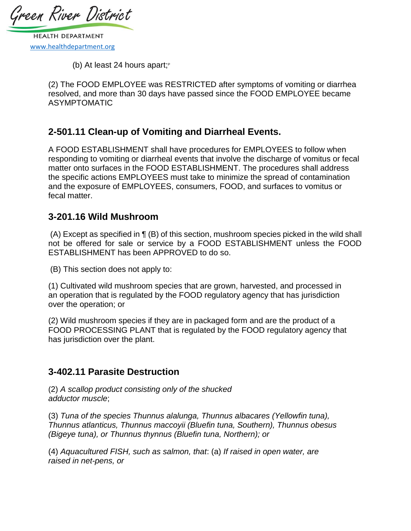Green River District

**HEALTH DEPARTMENT** [www.healthdepartment.org](http://www.healthdepartment.org/)

(b) At least 24 hours apart; $P$ 

(2) The FOOD EMPLOYEE was RESTRICTED after symptoms of vomiting or diarrhea resolved, and more than 30 days have passed since the FOOD EMPLOYEE became ASYMPTOMATIC

#### **2-501.11 Clean-up of Vomiting and Diarrheal Events.**

A FOOD ESTABLISHMENT shall have procedures for EMPLOYEES to follow when responding to vomiting or diarrheal events that involve the discharge of vomitus or fecal matter onto surfaces in the FOOD ESTABLISHMENT. The procedures shall address the specific actions EMPLOYEES must take to minimize the spread of contamination and the exposure of EMPLOYEES, consumers, FOOD, and surfaces to vomitus or fecal matter.

#### **3-201.16 Wild Mushroom**

(A) Except as specified in ¶ (B) of this section, mushroom species picked in the wild shall not be offered for sale or service by a FOOD ESTABLISHMENT unless the FOOD ESTABLISHMENT has been APPROVED to do so.

(B) This section does not apply to:

(1) Cultivated wild mushroom species that are grown, harvested, and processed in an operation that is regulated by the FOOD regulatory agency that has jurisdiction over the operation; or

(2) Wild mushroom species if they are in packaged form and are the product of a FOOD PROCESSING PLANT that is regulated by the FOOD regulatory agency that has jurisdiction over the plant.

#### **3-402.11 Parasite Destruction**

(2) *A scallop product consisting only of the shucked adductor muscle*;

(3) *Tuna of the species Thunnus alalunga, Thunnus albacares (Yellowfin tuna), Thunnus atlanticus, Thunnus maccoyii (Bluefin tuna, Southern), Thunnus obesus (Bigeye tuna), or Thunnus thynnus (Bluefin tuna, Northern); or* 

(4) *Aquacultured FISH, such as salmon, that*: (a) *If raised in open water, are raised in net-pens, or*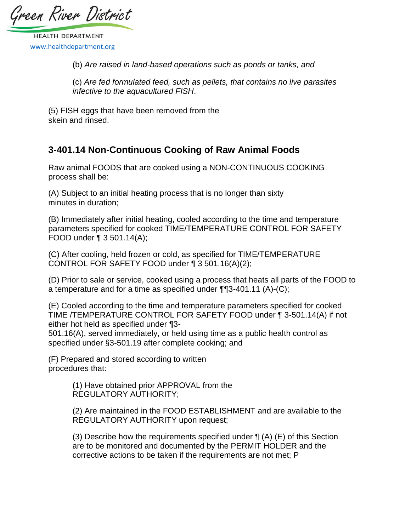Green River District

**HEALTH DEPARTMENT** [www.healthdepartment.org](http://www.healthdepartment.org/)

(b) *Are raised in land-based operations such as ponds or tanks, and* 

(c) *Are fed formulated feed, such as pellets, that contains no live parasites infective to the aquacultured FISH*.

(5) FISH eggs that have been removed from the skein and rinsed.

### **3-401.14 Non-Continuous Cooking of Raw Animal Foods**

Raw animal FOODS that are cooked using a NON-CONTINUOUS COOKING process shall be:

(A) Subject to an initial heating process that is no longer than sixty minutes in duration;

(B) Immediately after initial heating, cooled according to the time and temperature parameters specified for cooked TIME/TEMPERATURE CONTROL FOR SAFETY FOOD under ¶ 3 501.14(A);

(C) After cooling, held frozen or cold, as specified for TIME/TEMPERATURE CONTROL FOR SAFETY FOOD under ¶ 3 501.16(A)(2);

(D) Prior to sale or service, cooked using a process that heats all parts of the FOOD to a temperature and for a time as specified under ¶¶3-401.11 (A)-(C);

(E) Cooled according to the time and temperature parameters specified for cooked TIME /TEMPERATURE CONTROL FOR SAFETY FOOD under ¶ 3-501.14(A) if not either hot held as specified under ¶3-

501.16(A), served immediately, or held using time as a public health control as specified under §3-501.19 after complete cooking; and

(F) Prepared and stored according to written procedures that:

> (1) Have obtained prior APPROVAL from the REGULATORY AUTHORITY;

(2) Are maintained in the FOOD ESTABLISHMENT and are available to the REGULATORY AUTHORITY upon request;

(3) Describe how the requirements specified under  $\P$  (A) (E) of this Section are to be monitored and documented by the PERMIT HOLDER and the corrective actions to be taken if the requirements are not met; P